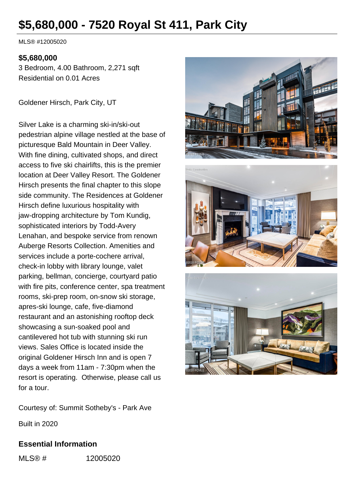# **\$5,680,000 - 7520 Royal St 411, Park City**

MLS® #12005020

#### **\$5,680,000**

3 Bedroom, 4.00 Bathroom, 2,271 sqft Residential on 0.01 Acres

Goldener Hirsch, Park City, UT

Silver Lake is a charming ski-in/ski-out pedestrian alpine village nestled at the base of picturesque Bald Mountain in Deer Valley. With fine dining, cultivated shops, and direct access to five ski chairlifts, this is the premier location at Deer Valley Resort. The Goldener Hirsch presents the final chapter to this slope side community. The Residences at Goldener Hirsch define luxurious hospitality with jaw-dropping architecture by Tom Kundig, sophisticated interiors by Todd-Avery Lenahan, and bespoke service from renown Auberge Resorts Collection. Amenities and services include a porte-cochere arrival, check-in lobby with library lounge, valet parking, bellman, concierge, courtyard patio with fire pits, conference center, spa treatment rooms, ski-prep room, on-snow ski storage, apres-ski lounge, cafe, five-diamond restaurant and an astonishing rooftop deck showcasing a sun-soaked pool and cantilevered hot tub with stunning ski run views. Sales Office is located inside the original Goldener Hirsch Inn and is open 7 days a week from 11am - 7:30pm when the resort is operating. Otherwise, please call us for a tour.

Courtesy of: Summit Sotheby's - Park Ave

Built in 2020

### **Essential Information**

MLS® # 12005020





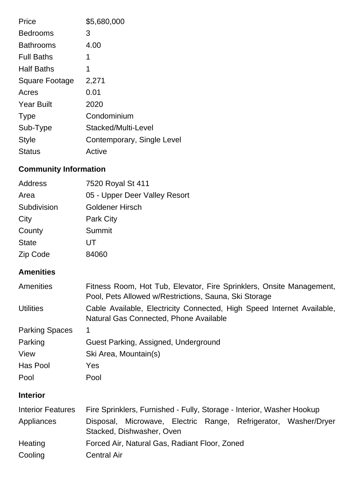| Price                 | \$5,680,000                |
|-----------------------|----------------------------|
| <b>Bedrooms</b>       | 3                          |
| <b>Bathrooms</b>      | 4.00                       |
| <b>Full Baths</b>     | 1                          |
| <b>Half Baths</b>     | 1                          |
| <b>Square Footage</b> | 2,271                      |
| Acres                 | 0.01                       |
| <b>Year Built</b>     | 2020                       |
| <b>Type</b>           | Condominium                |
| Sub-Type              | Stacked/Multi-Level        |
| <b>Style</b>          | Contemporary, Single Level |
| Status                | Active                     |

## **Community Information**

| <b>Address</b>           | 7520 Royal St 411                                                                                                             |
|--------------------------|-------------------------------------------------------------------------------------------------------------------------------|
| Area                     | 05 - Upper Deer Valley Resort                                                                                                 |
| Subdivision              | <b>Goldener Hirsch</b>                                                                                                        |
| City                     | <b>Park City</b>                                                                                                              |
| County                   | <b>Summit</b>                                                                                                                 |
| <b>State</b>             | UT                                                                                                                            |
| Zip Code                 | 84060                                                                                                                         |
| <b>Amenities</b>         |                                                                                                                               |
| Amenities                | Fitness Room, Hot Tub, Elevator, Fire Sprinklers, Onsite Management,<br>Pool, Pets Allowed w/Restrictions, Sauna, Ski Storage |
| <b>Utilities</b>         | Cable Available, Electricity Connected, High Speed Internet Available,<br>Natural Gas Connected, Phone Available              |
| <b>Parking Spaces</b>    | 1                                                                                                                             |
| Parking                  | Guest Parking, Assigned, Underground                                                                                          |
| View                     | Ski Area, Mountain(s)                                                                                                         |
| Has Pool                 | Yes                                                                                                                           |
| Pool                     | Pool                                                                                                                          |
| <b>Interior</b>          |                                                                                                                               |
| <b>Interior Features</b> | Fire Sprinklers, Furnished - Fully, Storage - Interior, Washer Hookup                                                         |
| Appliances               | Disposal, Microwave, Electric Range, Refrigerator, Washer/Dryer<br>Stacked, Dishwasher, Oven                                  |
| Heating                  | Forced Air, Natural Gas, Radiant Floor, Zoned                                                                                 |
| Cooling                  | <b>Central Air</b>                                                                                                            |